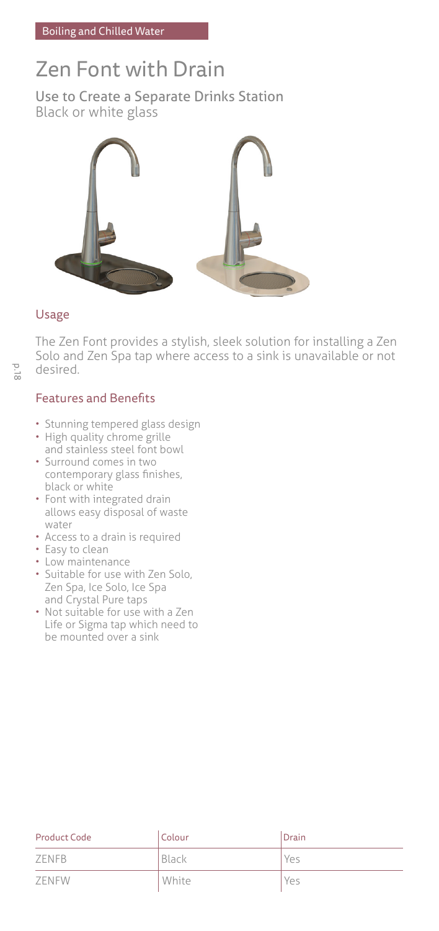# Zen Font with Drain

Use to Create a Separate Drinks Station Black or white glass



### Usage

The Zen Font provides a stylish, sleek solution for installing a Zen Solo and Zen Spa tap where access to a sink is unavailable or not desired.

### Features and Benefits

- Stunning tempered glass design
- High quality chrome grille and stainless steel font bowl
- Surround comes in two contemporary glass finishes, black or white
- Font with integrated drain allows easy disposal of waste water
- Access to a drain is required
- Easy to clean
- Low maintenance
- Suitable for use with Zen Solo, Zen Spa, Ice Solo, Ice Spa and Crystal Pure taps
- Not suitable for use with a Zen Life or Sigma tap which need to be mounted over a sink

| <b>Product Code</b> | Colour | Drain |
|---------------------|--------|-------|
| ZENFB               | Black  | Yes   |
| ZENFW               | White  | Yes   |